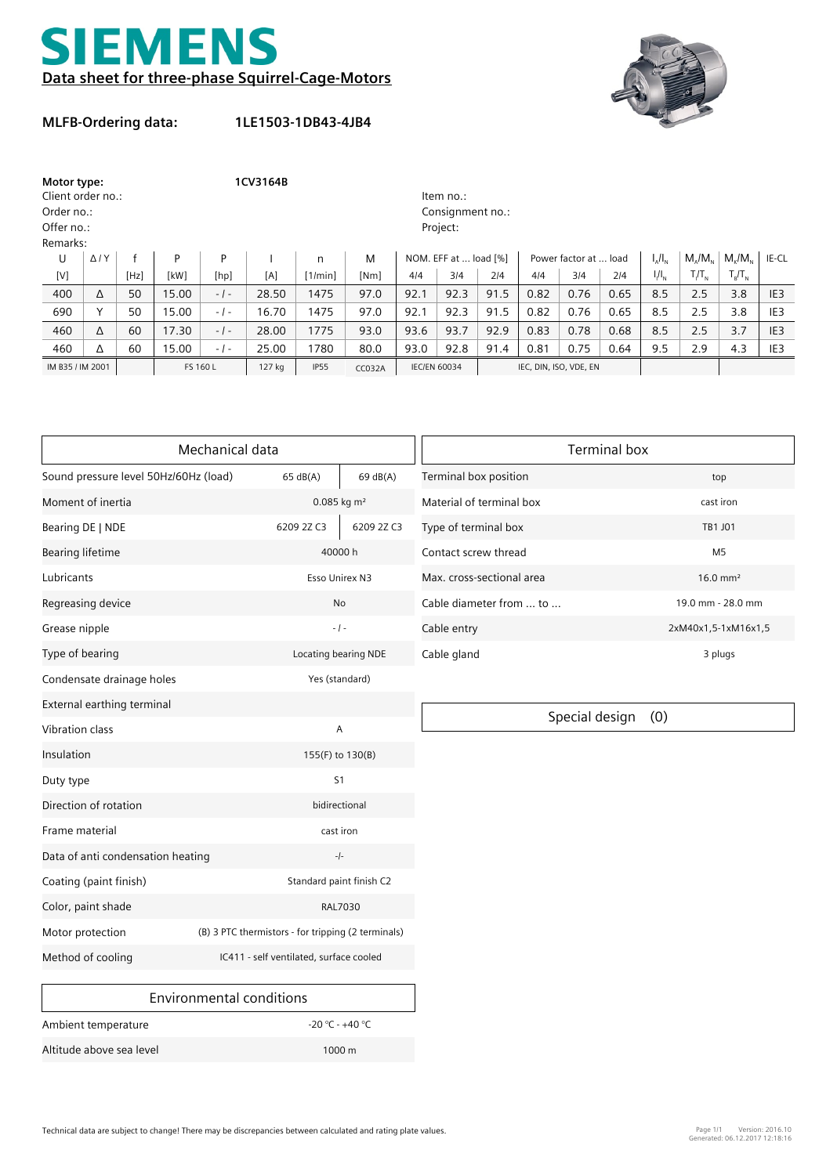



## **MLFB-Ordering data:**

**1LE1503-1DB43-4JB4**

| Motor type:       |                |      | 1CV3164B         |           |        |              |               |                     |                       |      |                        |                       |      |               |                              |                   |                 |
|-------------------|----------------|------|------------------|-----------|--------|--------------|---------------|---------------------|-----------------------|------|------------------------|-----------------------|------|---------------|------------------------------|-------------------|-----------------|
| Client order no.: |                |      |                  | Item no.: |        |              |               |                     |                       |      |                        |                       |      |               |                              |                   |                 |
| Order no.:        |                |      | Consignment no.: |           |        |              |               |                     |                       |      |                        |                       |      |               |                              |                   |                 |
| Offer no.:        |                |      | Project:         |           |        |              |               |                     |                       |      |                        |                       |      |               |                              |                   |                 |
| Remarks:          |                |      |                  |           |        |              |               |                     |                       |      |                        |                       |      |               |                              |                   |                 |
| U                 | $\Delta$ / $Y$ |      | P                | P         |        | $\mathsf{n}$ | M             |                     | NOM. EFF at  load [%] |      |                        | Power factor at  load |      | $I_{A}/I_{N}$ | $M/M_{\odot}$                | $M_{\nu}/M_{\nu}$ | IE-CL           |
| [V]               |                | [Hz] | [kW]             | [hp]      | [A]    | [1/min]      | [Nm]          | 4/4                 | 3/4                   | 214  | 4/4                    | 3/4                   | 2/4  | $I/I_{N}$     | $T/T_{\scriptscriptstyle N}$ | $T_R/T_N$         |                 |
| 400               | Δ              | 50   | 15.00            | $-1-$     | 28.50  | 1475         | 97.0          | 92.1                | 92.3                  | 91.5 | 0.82                   | 0.76                  | 0.65 | 8.5           | 2.5                          | 3.8               | IE <sub>3</sub> |
| 690               |                | 50   | 15.00            | $-1-$     | 16.70  | 1475         | 97.0          | 92.1                | 92.3                  | 91.5 | 0.82                   | 0.76                  | 0.65 | 8.5           | 2.5                          | 3.8               | IE <sub>3</sub> |
| 460               | Δ              | 60   | 17.30            | $-1-$     | 28.00  | 1775         | 93.0          | 93.6                | 93.7                  | 92.9 | 0.83                   | 0.78                  | 0.68 | 8.5           | 2.5                          | 3.7               | IE <sub>3</sub> |
| 460               | Δ              | 60   | 15.00            | $-1-$     | 25.00  | 1780         | 80.0          | 93.0                | 92.8                  | 91.4 | 0.81                   | 0.75                  | 0.64 | 9.5           | 2.9                          | 4.3               | IE3             |
| IM B35 / IM 2001  |                |      | FS 160 L         |           | 127 kg | <b>IP55</b>  | <b>CC032A</b> | <b>IEC/EN 60034</b> |                       |      | IEC, DIN, ISO, VDE, EN |                       |      |               |                              |                   |                 |

|                                       | Mechanical data                                    | <b>Terminal box</b>       |                           |                     |  |  |
|---------------------------------------|----------------------------------------------------|---------------------------|---------------------------|---------------------|--|--|
| Sound pressure level 50Hz/60Hz (load) | 65 dB(A)                                           | 69 dB(A)                  | Terminal box position     | top                 |  |  |
| Moment of inertia                     |                                                    | $0.085$ kg m <sup>2</sup> | Material of terminal box  | cast iron           |  |  |
| Bearing DE   NDE                      | 6209 2Z C3                                         | 6209 2Z C3                | Type of terminal box      | TB1 J01             |  |  |
| <b>Bearing lifetime</b>               |                                                    | 40000h                    | Contact screw thread      | M <sub>5</sub>      |  |  |
| Lubricants                            |                                                    | Esso Unirex N3            | Max. cross-sectional area | $16.0 \text{ mm}^2$ |  |  |
| Regreasing device                     |                                                    | No                        | Cable diameter from  to   | 19.0 mm - 28.0 mm   |  |  |
| Grease nipple                         |                                                    | $-1 -$                    | Cable entry               | 2xM40x1,5-1xM16x1   |  |  |
| Type of bearing                       |                                                    | Locating bearing NDE      | Cable gland               | 3 plugs             |  |  |
| Condensate drainage holes             |                                                    | Yes (standard)            |                           |                     |  |  |
| External earthing terminal            |                                                    |                           |                           |                     |  |  |
| Vibration class                       |                                                    | A                         | Special design            | (0)                 |  |  |
| Insulation                            |                                                    | 155(F) to 130(B)          |                           |                     |  |  |
| Duty type                             |                                                    | S <sub>1</sub>            |                           |                     |  |  |
| Direction of rotation                 |                                                    | bidirectional             |                           |                     |  |  |
| Frame material                        |                                                    | cast iron                 |                           |                     |  |  |
| Data of anti condensation heating     |                                                    | $-/-$                     |                           |                     |  |  |
| Coating (paint finish)                |                                                    | Standard paint finish C2  |                           |                     |  |  |
| Color, paint shade                    |                                                    | RAL7030                   |                           |                     |  |  |
| Motor protection                      | (B) 3 PTC thermistors - for tripping (2 terminals) |                           |                           |                     |  |  |
| Method of cooling                     | IC411 - self ventilated, surface cooled            |                           |                           |                     |  |  |
|                                       | 11.11<br>$\sim$ $\sim$ $\sim$                      |                           |                           |                     |  |  |

| Environmental conditions |                     |
|--------------------------|---------------------|
| Ambient temperature      | -20 °C - +40 °C     |
| Altitude above sea level | $1000 \,\mathrm{m}$ |

| <b>Terminal box</b>       |                     |  |  |  |  |
|---------------------------|---------------------|--|--|--|--|
| Terminal box position     | top                 |  |  |  |  |
| Material of terminal box  | cast iron           |  |  |  |  |
| Type of terminal box      | TB1 J01             |  |  |  |  |
| Contact screw thread      | M5                  |  |  |  |  |
| Max. cross-sectional area | $16.0 \text{ mm}^2$ |  |  |  |  |
| Cable diameter from  to   | 19.0 mm - 28.0 mm   |  |  |  |  |
| Cable entry               | 2xM40x1,5-1xM16x1,5 |  |  |  |  |
| Cable gland               | 3 plugs             |  |  |  |  |